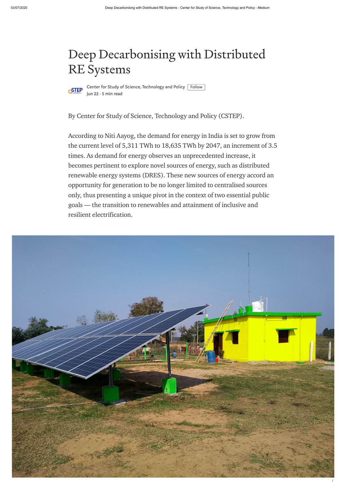

Center for Study of Science, [Technology](https://medium.com/@cstep?source=post_page-----91f2110aa5b6----------------------) and Policy  $[$  Follow  $]$ [Jun](https://medium.com/@cstep/deep-decarbonising-with-distributed-re-systems-91f2110aa5b6?source=post_page-----91f2110aa5b6----------------------) 22 · 5 min read

## Deep Decarbonising with Distributed RE Systems



By Center for Study of Science, Technology and Policy (CSTEP).

According to Niti Aayog, the demand for energy in India is set to grow from the current level of 5,311 TWh to 18,635 TWh by 2047, an increment of 3.5 times. As demand for energy observes an unprecedented increase, it becomes pertinent to explore novel sources of energy, such as distributed renewable energy systems (DRES). These new sources of energy accord an opportunity for generation to be no longer limited to centralised sources only, thus presenting a unique pivot in the context of two essential public goals — the transition to renewables and attainment of inclusive and resilient electrification.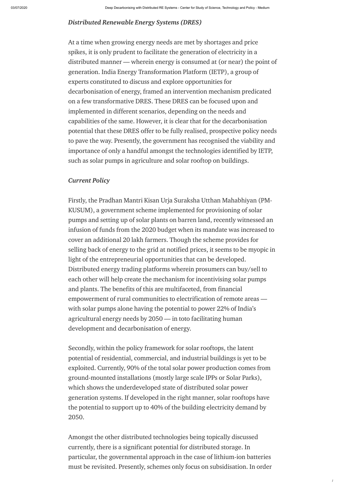/

## *Distributed Renewable Energy Systems (DRES)*

At a time when growing energy needs are met by shortages and price spikes, it is only prudent to facilitate the generation of electricity in a distributed manner — wherein energy is consumed at (or near) the point of generation. India Energy Transformation Platform (IETP), a group of experts constituted to discuss and explore opportunities for decarbonisation of energy, framed an intervention mechanism predicated on a few transformative DRES. These DRES can be focused upon and implemented in different scenarios, depending on the needs and capabilities of the same. However, it is clear that for the decarbonisation potential that these DRES offer to be fully realised, prospective policy needs to pave the way. Presently, the government has recognised the viability and importance of only a handful amongst the technologies identified by IETP, such as solar pumps in agriculture and solar rooftop on buildings.

## *Current Policy*

Firstly, the Pradhan Mantri Kisan Urja Suraksha Utthan Mahabhiyan (PM-KUSUM), a government scheme implemented for provisioning of solar pumps and setting up of solar plants on barren land, recently witnessed an infusion of funds from the 2020 [budget](https://www.indiabudget.gov.in/doc/eb/sbe70.pdf) when its mandate was increased to cover an additional 20 lakh farmers. Though the scheme provides for selling back of energy to the grid at notified prices, it seems to be myopic in light of the entrepreneurial opportunities that can be developed. Distributed energy trading platforms wherein prosumers can buy/sell to each other will help create the mechanism for incentivising solar pumps and plants. The benefits of this are multifaceted, from financial empowerment of rural communities to electrification of remote areas with solar pumps alone having the potential to power 22% of India's agricultural energy needs by 2050 — in toto facilitating human development and decarbonisation of energy.

Secondly, within the policy framework for solar rooftops, the latent potential of residential, commercial, and industrial buildings is yet to be exploited. Currently, 90% of the total solar power production comes from ground-mounted installations (mostly large scale IPPs or Solar Parks), which shows the underdeveloped state of distributed solar power generation systems. If developed in the right manner, solar rooftops have the potential to support up to 40% of the building [electricity](http://ietp.in/wp-content/uploads/2020/04/IETP-PB-Distribited-Energy-Systems.pdf) demand by 2050.

Amongst the other distributed technologies being topically discussed currently, there is a significant potential for distributed storage. In particular, the governmental approach in the case of lithium-ion batteries must be revisited. Presently, schemes only focus on subsidisation. In order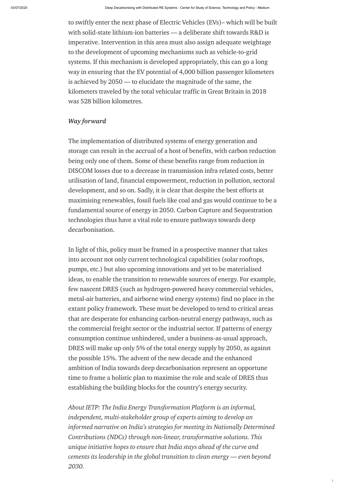/

to swiftly enter the next phase of Electric Vehicles (EVs)– which will be built with solid-state lithium-ion batteries — a deliberate shift towards R&D is imperative. Intervention in this area must also assign adequate weightage to the development of upcoming mechanisms such as vehicle-to-grid systems. If this mechanism is developed appropriately, this can go a long way in ensuring that the EV potential of 4,000 billion passenger kilometers is achieved by 2050 — to elucidate the magnitude of the same, the kilometers traveled by the total vehicular traffic in Great Britain in 2018 was 528 billion [kilometres](https://www.racfoundation.org/motoring-faqs/mobility#a26).

## *Way forward*

The implementation of distributed systems of energy generation and storage can result in the accrual of a host of benefits, with carbon reduction being only one of them. Some of these benefits range from reduction in DISCOM losses due to a decrease in transmission infra related costs, better utilisation of land, financial empowerment, reduction in pollution, sectoral development, and so on. Sadly, it is clear that despite the best efforts at maximising renewables, fossil fuels like coal and gas would continue to be a fundamental source of energy in 2050. Carbon Capture and Sequestration technologies thus have a vital role to ensure pathways towards deep decarbonisation.

In light of this, policy must be framed in a prospective manner that takes into account not only current technological capabilities (solar rooftops, pumps, etc.) but also upcoming innovations and yet to be materialised ideas, to enable the transition to renewable sources of energy. For example, few nascent DRES (such as hydrogen-powered heavy commercial vehicles, metal-air batteries, and airborne wind energy systems) find no place in the extant policy framework. These must be developed to tend to critical areas that are desperate for enhancing carbon-neutral energy pathways, such as the commercial freight sector or the industrial sector. If patterns of energy consumption continue unhindered, under a business-as-usual approach, DRES will make up only 5% of the total energy supply by 2050, as against the possible 15%. The advent of the new decade and the enhanced ambition of India towards deep decarbonisation represent an opportune time to frame a holistic plan to maximise the role and scale of DRES thus establishing the building blocks for the country's energy security.

*About IETP: The India Energy Transformation Platform is an informal, independent, multi-stakeholder group of experts aiming to develop an informed narrative on India's strategies for meeting its Nationally Determined Contributions (NDCs) through non-linear, transformative solutions. This unique initiative hopes to ensure that India stays ahead of the curve and cements its leadership in the global transition to clean energy — even beyond 2030.*